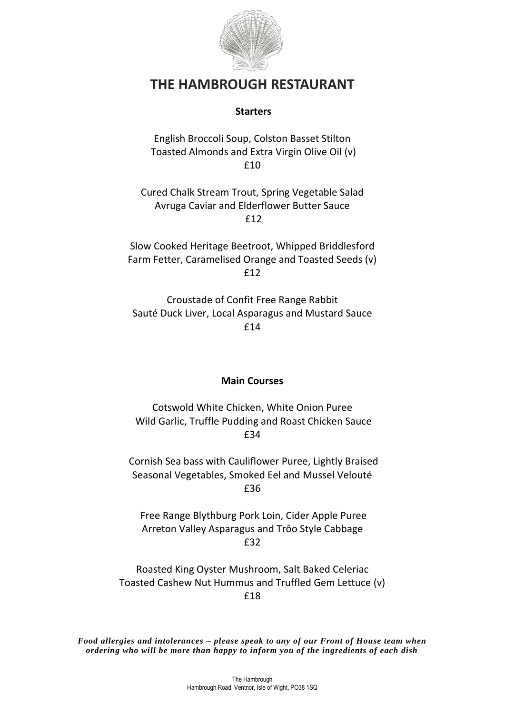

# **THE HAMBROUGH RESTAURANT**

### **Starters**

English Broccoli Soup, Colston Basset Stilton Toasted Almonds and Extra Virgin Olive Oil (v) £10

Cured Chalk Stream Trout, Spring Vegetable Salad Avruga Caviar and Elderflower Butter Sauce £12

Slow Cooked Heritage Beetroot, Whipped Briddlesford Farm Fetter, Caramelised Orange and Toasted Seeds (v) £12

Croustade of Confit Free Range Rabbit Sauté Duck Liver, Local Asparagus and Mustard Sauce £14

### **Main Courses**

Cotswold White Chicken, White Onion Puree Wild Garlic, Truffle Pudding and Roast Chicken Sauce £34

Cornish Sea bass with Cauliflower Puree, Lightly Braised Seasonal Vegetables, Smoked Eel and Mussel Velouté £36

Free Range Blythburg Pork Loin, Cider Apple Puree Arreton Valley Asparagus and Trôo Style Cabbage £32

Roasted King Oyster Mushroom, Salt Baked Celeriac Toasted Cashew Nut Hummus and Truffled Gem Lettuce (v) £18

*Food allergies and intolerances – please speak to any of our Front of House team when ordering who will be more than happy to inform you of the ingredients of each dish*